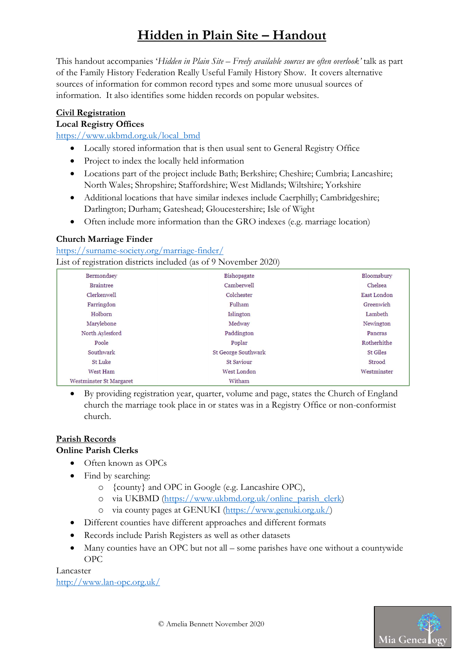This handout accompanies 'Hidden in Plain Site – Freely available sources we often overlook' talk as part of the Family History Federation Really Useful Family History Show. It covers alternative sources of information for common record types and some more unusual sources of information. It also identifies some hidden records on popular websites.

#### Civil Registration

#### Local Registry Offices

https://www.ukbmd.org.uk/local\_bmd

- Locally stored information that is then usual sent to General Registry Office
- Project to index the locally held information
- Locations part of the project include Bath; Berkshire; Cheshire; Cumbria; Lancashire; North Wales; Shropshire; Staffordshire; West Midlands; Wiltshire; Yorkshire
- Additional locations that have similar indexes include Caerphilly; Cambridgeshire; Darlington; Durham; Gateshead; Gloucestershire; Isle of Wight
- Often include more information than the GRO indexes (e.g. marriage location)

#### Church Marriage Finder

https://surname-society.org/marriage-finder/ List of registration districts included (as of 9 November 2020)

| Bermondsey                     | Bishopsgate                | Bloomsbury      |
|--------------------------------|----------------------------|-----------------|
| <b>Braintree</b>               | Camberwell                 | Chelsea         |
| Clerkenwell                    | Colchester                 | East London     |
| Farringdon                     | Fulham                     | Greenwich       |
| Holborn                        | Islington                  | Lambeth         |
| Marylebone                     | Medway                     | Newington       |
| North Aylesford                | Paddington                 | Pancras         |
| Poole                          | Poplar                     | Rotherhithe     |
| Southwark                      | <b>St George Southwark</b> | <b>St Giles</b> |
| <b>St Luke</b>                 | <b>St Saviour</b>          | Strood          |
| West Ham                       | West London                | Westminster     |
| <b>Westminster St Margaret</b> | Witham                     |                 |

 By providing registration year, quarter, volume and page, states the Church of England church the marriage took place in or states was in a Registry Office or non-conformist church.

#### Parish Records

#### Online Parish Clerks

- Often known as OPCs
- Find by searching:
	- o {county} and OPC in Google (e.g. Lancashire OPC),
	- o via UKBMD (https://www.ukbmd.org.uk/online\_parish\_clerk)
	- o via county pages at GENUKI (https://www.genuki.org.uk/)
- Different counties have different approaches and different formats
- Records include Parish Registers as well as other datasets
- Many counties have an OPC but not all some parishes have one without a countywide OPC

Lancaster

http://www.lan-opc.org.uk/

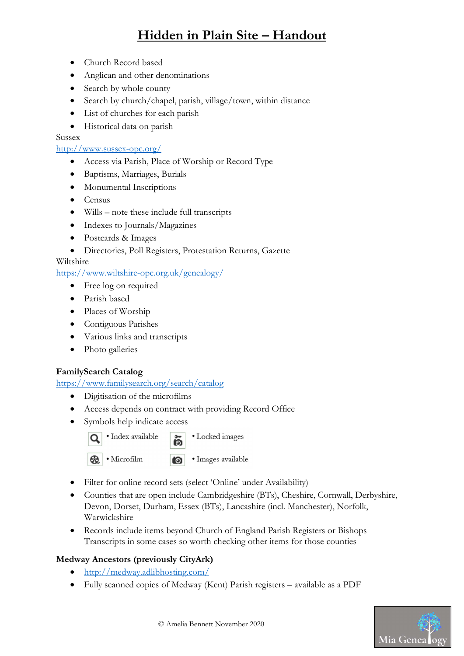- Church Record based
- Anglican and other denominations
- Search by whole county
- Search by church/chapel, parish, village/town, within distance
- List of churches for each parish
- Historical data on parish

Sussex

http://www.sussex-opc.org/

- Access via Parish, Place of Worship or Record Type
- Baptisms, Marriages, Burials
- Monumental Inscriptions
- Census
- Wills note these include full transcripts
- Indexes to Journals/Magazines
- Postcards & Images
- Directories, Poll Registers, Protestation Returns, Gazette

#### Wiltshire

https://www.wiltshire-opc.org.uk/genealogy/

- Free log on required
- Parish based
- Places of Worship
- Contiguous Parishes
- Various links and transcripts
- Photo galleries

#### FamilySearch Catalog

https://www.familysearch.org/search/catalog

- Digitisation of the microfilms
- Access depends on contract with providing Record Office
- Symbols help indicate access



 $\bullet$ 

• Locked images



· Images available

- Filter for online record sets (select 'Online' under Availability)
- Counties that are open include Cambridgeshire (BTs), Cheshire, Cornwall, Derbyshire, Devon, Dorset, Durham, Essex (BTs), Lancashire (incl. Manchester), Norfolk, Warwickshire
- Records include items beyond Church of England Parish Registers or Bishops Transcripts in some cases so worth checking other items for those counties

#### Medway Ancestors (previously CityArk)

- http://medway.adlibhosting.com/
- Fully scanned copies of Medway (Kent) Parish registers available as a PDF

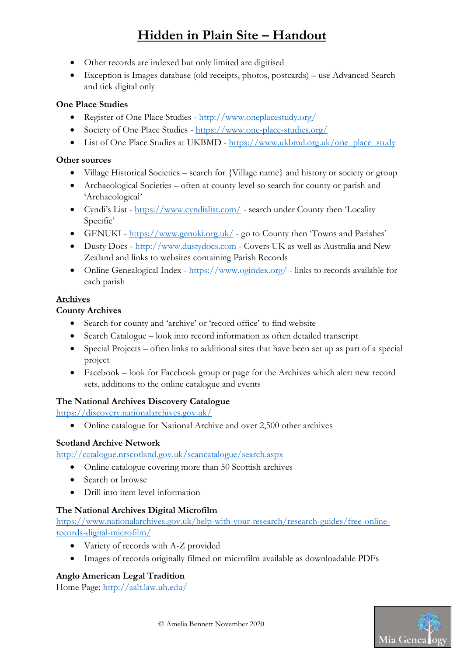- Other records are indexed but only limited are digitised
- Exception is Images database (old receipts, photos, postcards) use Advanced Search and tick digital only

#### One Place Studies

- Register of One Place Studies http://www.oneplacestudy.org/
- Society of One Place Studies https://www.one-place-studies.org/
- List of One Place Studies at UKBMD https://www.ukbmd.org.uk/one\_place\_study

#### Other sources

- Village Historical Societies search for {Village name} and history or society or group
- Archaeological Societies often at county level so search for county or parish and 'Archaeological'
- Cyndi's List https://www.cyndislist.com/ search under County then 'Locality Specific'
- GENUKI https://www.genuki.org.uk/ go to County then 'Towns and Parishes'
- Dusty Docs http://www.dustydocs.com Covers UK as well as Australia and New Zealand and links to websites containing Parish Records
- Online Genealogical Index https://www.ogindex.org/ links to records available for each parish

#### Archives

#### County Archives

- Search for county and 'archive' or 'record office' to find website
- Search Catalogue look into record information as often detailed transcript
- Special Projects often links to additional sites that have been set up as part of a special project
- Facebook look for Facebook group or page for the Archives which alert new record sets, additions to the online catalogue and events

#### The National Archives Discovery Catalogue

https://discovery.nationalarchives.gov.uk/

• Online catalogue for National Archive and over 2,500 other archives

#### Scotland Archive Network

http://catalogue.nrscotland.gov.uk/scancatalogue/search.aspx

- Online catalogue covering more than 50 Scottish archives
- Search or browse
- Drill into item level information

#### The National Archives Digital Microfilm

https://www.nationalarchives.gov.uk/help-with-your-research/research-guides/free-onlinerecords-digital-microfilm/

- Variety of records with A-Z provided
- Images of records originally filmed on microfilm available as downloadable PDFs

#### Anglo American Legal Tradition

Home Page: http://aalt.law.uh.edu/

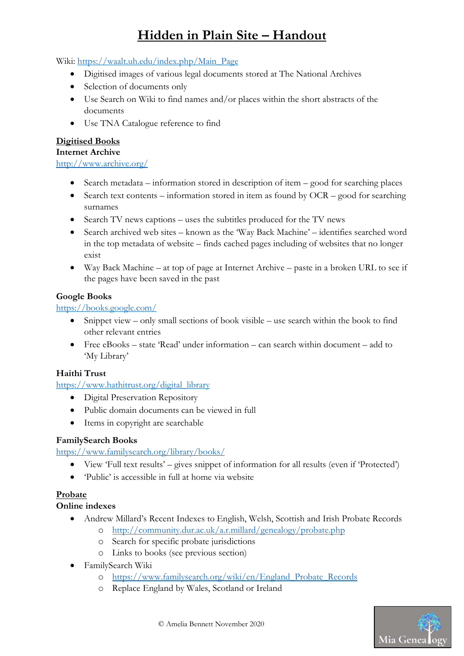Wiki: https://waalt.uh.edu/index.php/Main\_Page

- Digitised images of various legal documents stored at The National Archives
- Selection of documents only
- Use Search on Wiki to find names and/or places within the short abstracts of the documents
- Use TNA Catalogue reference to find

### Digitised Books

# Internet Archive

http://www.archive.org/

- $\bullet$  Search metadata information stored in description of item good for searching places
- $\bullet$  Search text contents information stored in item as found by OCR good for searching surnames
- Search TV news captions uses the subtitles produced for the TV news
- Search archived web sites known as the 'Way Back Machine' identifies searched word in the top metadata of website – finds cached pages including of websites that no longer exist
- Way Back Machine at top of page at Internet Archive paste in a broken URL to see if the pages have been saved in the past

### Google Books

### https://books.google.com/

- Snippet view only small sections of book visible use search within the book to find other relevant entries
- Free eBooks state 'Read' under information can search within document add to 'My Library'

## Haithi Trust

https://www.hathitrust.org/digital\_library

- Digital Preservation Repository
- Public domain documents can be viewed in full
- Items in copyright are searchable

#### FamilySearch Books

https://www.familysearch.org/library/books/

- View 'Full text results' gives snippet of information for all results (even if 'Protected')
- 'Public' is accessible in full at home via website

## Probate

#### Online indexes

- Andrew Millard's Recent Indexes to English, Welsh, Scottish and Irish Probate Records
	- o http://community.dur.ac.uk/a.r.millard/genealogy/probate.php
		- o Search for specific probate jurisdictions
		- o Links to books (see previous section)
- FamilySearch Wiki
	- o https://www.familysearch.org/wiki/en/England\_Probate\_Records
	- o Replace England by Wales, Scotland or Ireland